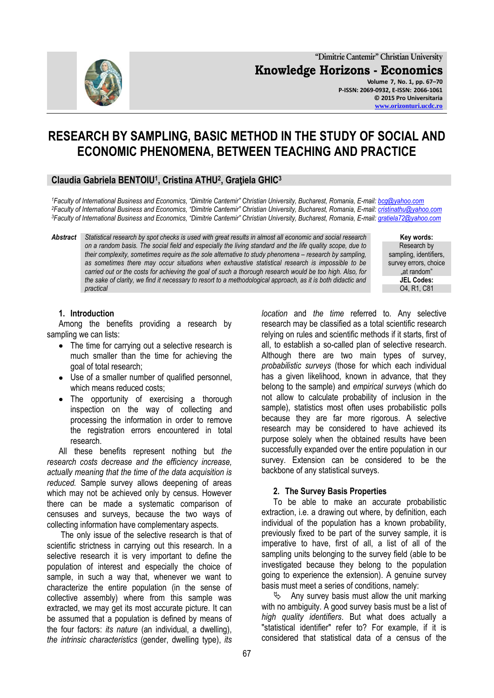

**"Dimitrie Cantemir" Christian University Knowledge Horizons - Economics Volume 7, No. 1, pp. 67–70 P-ISSN: 2069-0932, E-ISSN: 2066-1061 © 2015 Pro Universitaria [www.orizonturi.ucdc.ro](http://www.orizonturi.ucdc.ro/)**

# **RESEARCH BY SAMPLING, BASIC METHOD IN THE STUDY OF SOCIAL AND ECONOMIC PHENOMENA, BETWEEN TEACHING AND PRACTICE**

# **Claudia Gabriela BENTOIU<sup>1</sup> , Cristina ATHU<sup>2</sup> , Graţiela GHIC<sup>3</sup>**

*<sup>1</sup>Faculty of International Business and Economics, "Dimitrie Cantemir" Christian University, Bucharest, Romania, E-mail: [bcg@yahoo.com](mailto:bcg@yahoo.com) <sup>2</sup>Faculty of International Business and Economics, "Dimitrie Cantemir" Christian University, Bucharest, Romania, E-mail: [cristinathu@yahoo.com](mailto:cristinathu@yahoo.com) <sup>3</sup>Faculty of International Business and Economics, "Dimitrie Cantemir" Christian University, Bucharest, Romania, E-mail: [gratiela72@yahoo.com](mailto:gratiela72@yahoo.com)*

*Abstract Statistical research by spot checks is used with great results in almost all economic and social research on a random basis. The social field and especially the living standard and the life quality scope, due to their complexity, sometimes require as the sole alternative to study phenomena - research by sampling, as sometimes there may occur situations when exhaustive statistical research is impossible to be carried out or the costs for achieving the goal of such a thorough research would be too high. Also, for the sake of clarity, we find it necessary to resort to a methodological approach, as it is both didactic and practical* 

> *location* and *the time* referred to. Any selective research may be classified as a total scientific research relying on rules and scientific methods if it starts, first of all, to establish a so-called plan of selective research. Although there are two main types of survey, *probabilistic surveys* (those for which each individual has a given likelihood, known in advance, that they belong to the sample) and *empirical surveys* (which do not allow to calculate probability of inclusion in the sample), statistics most often uses probabilistic polls because they are far more rigorous. A selective research may be considered to have achieved its purpose solely when the obtained results have been successfully expanded over the entire population in our survey. Extension can be considered to be the backbone of any statistical surveys.

#### **2. The Survey Basis Properties**

To be able to make an accurate probabilistic extraction, i.e. a drawing out where, by definition, each individual of the population has a known probability, previously fixed to be part of the survey sample, it is imperative to have, first of all, a list of all of the sampling units belonging to the survey field (able to be investigated because they belong to the population going to experience the extension). A genuine survey basis must meet a series of conditions, namely:

 $\&$  Any survey basis must allow the unit marking with no ambiguity. A good survey basis must be a list of *high quality identifiers*. But what does actually a "statistical identifier" refer to? For example, if it is considered that statistical data of a census of the

### **1. Introduction**

Among the benefits providing a research by sampling we can lists:

- The time for carrying out a selective research is much smaller than the time for achieving the goal of total research;
- Use of a smaller number of qualified personnel, which means reduced costs;
- The opportunity of exercising a thorough inspection on the way of collecting and processing the information in order to remove the registration errors encountered in total research.

All these benefits represent nothing but *the research costs decrease and the efficiency increase, actually meaning that the time of the data acquisition is reduced.* Sample survey allows deepening of areas which may not be achieved only by census. However there can be made a systematic comparison of censuses and surveys, because the two ways of collecting information have complementary aspects*.*

The only issue of the selective research is that of scientific strictness in carrying out this research. In a selective research it is very important to define the population of interest and especially the choice of sample, in such a way that, whenever we want to characterize the entire population (in the sense of collective assembly) where from this sample was extracted, we may get its most accurate picture. It can be assumed that a population is defined by means of the four factors: *its nature* (an individual, a dwelling), *the intrinsic characteristics* (gender, dwelling type), *its* 

**Key words:** Research by sampling, identifiers, survey errors, choice "at random" **JEL Codes:** O4, R1, C81

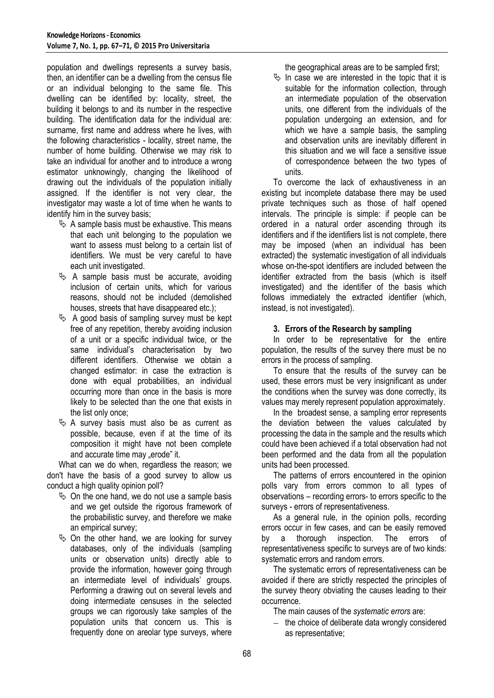population and dwellings represents a survey basis, then, an identifier can be a dwelling from the census file or an individual belonging to the same file. This dwelling can be identified by: locality, street, the building it belongs to and its number in the respective building. The identification data for the individual are: surname, first name and address where he lives, with the following characteristics - locality, street name, the number of home building. Otherwise we may risk to take an individual for another and to introduce a wrong estimator unknowingly, changing the likelihood of drawing out the individuals of the population initially assigned. If the identifier is not very clear, the investigator may waste a lot of time when he wants to identify him in the survey basis;

- $\&$  A sample basis must be exhaustive. This means that each unit belonging to the population we want to assess must belong to a certain list of identifiers. We must be very careful to have each unit investigated.
- $\&$  A sample basis must be accurate, avoiding inclusion of certain units, which for various reasons, should not be included (demolished houses, streets that have disappeared etc.);
- $\&$  A good basis of sampling survey must be kept free of any repetition, thereby avoiding inclusion of a unit or a specific individual twice, or the same individual's characterisation by two different identifiers. Otherwise we obtain a changed estimator: in case the extraction is done with equal probabilities, an individual occurring more than once in the basis is more likely to be selected than the one that exists in the list only once;
- $\&$  A survey basis must also be as current as possible, because, even if at the time of its composition it might have not been complete and accurate time may "erode" it.

What can we do when, regardless the reason; we don't have the basis of a good survey to allow us conduct a high quality opinion poll?

- $\%$  On the one hand, we do not use a sample basis and we get outside the rigorous framework of the probabilistic survey, and therefore we make an empirical survey;
- $\&$  On the other hand, we are looking for survey databases, only of the individuals (sampling units or observation units) directly able to provide the information, however going through an intermediate level of individuals' groups. Performing a drawing out on several levels and doing intermediate censuses in the selected groups we can rigorously take samples of the population units that concern us. This is frequently done on areolar type surveys, where

the geographical areas are to be sampled first;

 $\%$  In case we are interested in the topic that it is suitable for the information collection, through an intermediate population of the observation units, one different from the individuals of the population undergoing an extension, and for which we have a sample basis, the sampling and observation units are inevitably different in this situation and we will face a sensitive issue of correspondence between the two types of units.

To overcome the lack of exhaustiveness in an existing but incomplete database there may be used private techniques such as those of half opened intervals. The principle is simple: if people can be ordered in a natural order ascending through its identifiers and if the identifiers list is not complete, there may be imposed (when an individual has been extracted) the systematic investigation of all individuals whose on-the-spot identifiers are included between the identifier extracted from the basis (which is itself investigated) and the identifier of the basis which follows immediately the extracted identifier (which, instead, is not investigated).

#### **3. Errors of the Research by sampling**

In order to be representative for the entire population, the results of the survey there must be no errors in the process of sampling.

To ensure that the results of the survey can be used, these errors must be very insignificant as under the conditions when the survey was done correctly, its values may merely represent population approximately.

In the broadest sense, a sampling error represents the deviation between the values calculated by processing the data in the sample and the results which could have been achieved if a total observation had not been performed and the data from all the population units had been processed.

The patterns of errors encountered in the opinion polls vary from errors common to all types of observations – recording errors- to errors specific to the surveys - errors of representativeness.

As a general rule, in the opinion polls, recording errors occur in few cases, and can be easily removed by a thorough inspection. The errors of representativeness specific to surveys are of two kinds: systematic errors and random errors.

The systematic errors of representativeness can be avoided if there are strictly respected the principles of the survey theory obviating the causes leading to their occurrence.

The main causes of the *systematic errors* are:

 $-$  the choice of deliberate data wrongly considered as representative;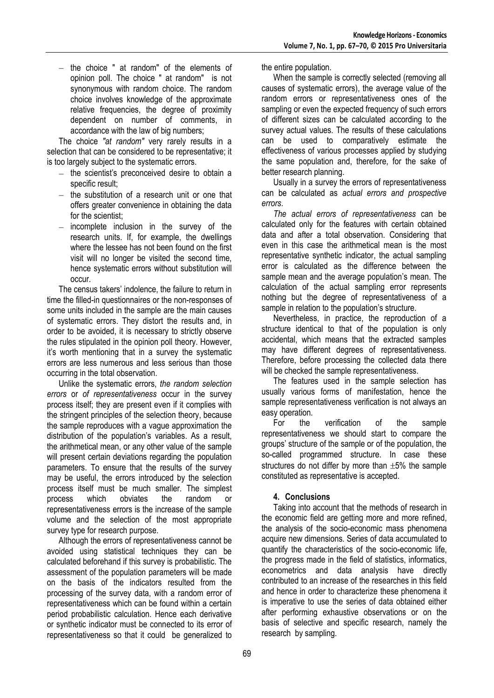$-$  the choice " at random" of the elements of opinion poll. The choice " at random" is not synonymous with random choice. The random choice involves knowledge of the approximate relative frequencies, the degree of proximity dependent on number of comments, in accordance with the law of big numbers;

The choice *"at random"* very rarely results in a selection that can be considered to be representative; it is too largely subject to the systematic errors.

- $-$  the scientist's preconceived desire to obtain a specific result;
- the substitution of a research unit or one that offers greater convenience in obtaining the data for the scientist:
- incomplete inclusion in the survey of the  $\sim$ research units. If, for example, the dwellings where the lessee has not been found on the first visit will no longer be visited the second time, hence systematic errors without substitution will occur.

The census takers' indolence, the failure to return in time the filled-in questionnaires or the non-responses of some units included in the sample are the main causes of systematic errors. They distort the results and, in order to be avoided, it is necessary to strictly observe the rules stipulated in the opinion poll theory. However, it's worth mentioning that in a survey the systematic errors are less numerous and less serious than those occurring in the total observation.

Unlike the systematic errors, *the random selection errors* or *of representativeness* occur in the survey process itself; they are present even if it complies with the stringent principles of the selection theory, because the sample reproduces with a vague approximation the distribution of the population's variables. As a result, the arithmetical mean, or any other value of the sample will present certain deviations regarding the population parameters. To ensure that the results of the survey may be useful, the errors introduced by the selection process itself must be much smaller. The simplest process which obviates the random or representativeness errors is the increase of the sample volume and the selection of the most appropriate survey type for research purpose.

Although the errors of representativeness cannot be avoided using statistical techniques they can be calculated beforehand if this survey is probabilistic. The assessment of the population parameters will be made on the basis of the indicators resulted from the processing of the survey data, with a random error of representativeness which can be found within a certain period probabilistic calculation. Hence each derivative or synthetic indicator must be connected to its error of representativeness so that it could be generalized to

the entire population.

When the sample is correctly selected (removing all causes of systematic errors), the average value of the random errors or representativeness ones of the sampling or even the expected frequency of such errors of different sizes can be calculated according to the survey actual values. The results of these calculations can be used to comparatively estimate the effectiveness of various processes applied by studying the same population and, therefore, for the sake of better research planning.

Usually in a survey the errors of representativeness can be calculated as *actual errors and prospective errors*.

*The actual errors of representativeness* can be calculated only for the features with certain obtained data and after a total observation. Considering that even in this case the arithmetical mean is the most representative synthetic indicator, the actual sampling error is calculated as the difference between the sample mean and the average population's mean. The calculation of the actual sampling error represents nothing but the degree of representativeness of a sample in relation to the population's structure.

Nevertheless, in practice, the reproduction of a structure identical to that of the population is only accidental, which means that the extracted samples may have different degrees of representativeness. Therefore, before processing the collected data there will be checked the sample representativeness.

The features used in the sample selection has usually various forms of manifestation, hence the sample representativeness verification is not always an easy operation.

For the verification of the sample representativeness we should start to compare the groups' structure of the sample or of the population, the so-called programmed structure. In case these structures do not differ by more than  $\pm 5\%$  the sample constituted as representative is accepted.

# **4. Conclusions**

Taking into account that the methods of research in the economic field are getting more and more refined, the analysis of the socio-economic mass phenomena acquire new dimensions. Series of data accumulated to quantify the characteristics of the socio-economic life, the progress made in the field of statistics, informatics, econometrics and data analysis have directly contributed to an increase of the researches in this field and hence in order to characterize these phenomena it is imperative to use the series of data obtained either after performing exhaustive observations or on the basis of selective and specific research, namely the research by sampling.